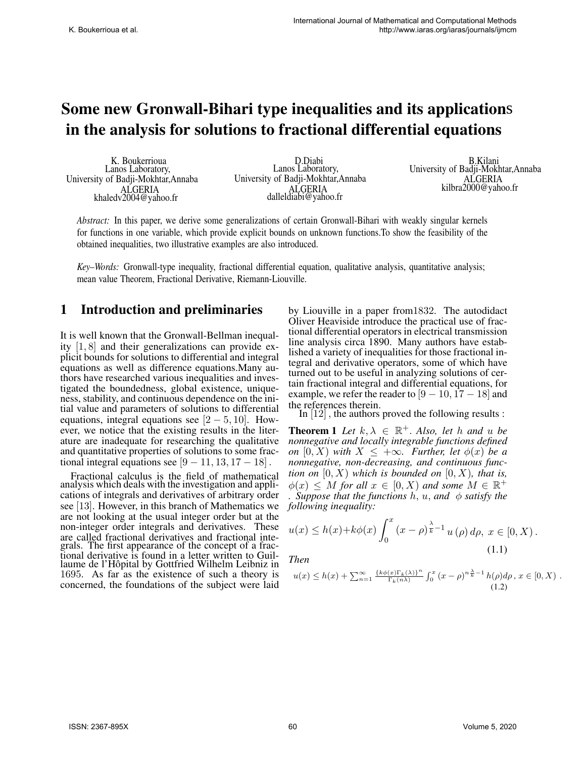# Some new Gronwall-Bihari type inequalities and its application sin the analysis for solutions to fractional differential equations

K. Boukerrioua Lanos Laboratory, University of Badji-Mokhtar,Annaba ALGERIA khaledv2004@yahoo.fr

D.Diabi Lanos Laboratory, University of Badji-Mokhtar,Annaba ALGERIA dalleldiabi@yahoo.fr

B.Kilani University of Badji-Mokhtar,Annaba ALGERIA kilbra2000@yahoo.fr

*Abstract:* In this paper, we derive some generalizations of certain Gronwall-Bihari with weakly singular kernels for functions in one variable, which provide explicit bounds on unknown functions.To show the feasibility of the obtained inequalities, two illustrative examples are also introduced.

*Key–Words:* Gronwall-type inequality, fractional differential equation, qualitative analysis, quantitative analysis; mean value Theorem, Fractional Derivative, Riemann-Liouville.

## 1 Introduction and preliminaries

It is well known that the Gronwall-Bellman inequality [1, 8] and their generalizations can provide explicit bounds for solutions to differential and integral equations as well as difference equations.Many authors have researched various inequalities and investigated the boundedness, global existence, uniqueness, stability, and continuous dependence on the initial value and parameters of solutions to differential equations, integral equations see  $[2 - 5, 10]$ . However, we notice that the existing results in the literature are inadequate for researching the qualitative and quantitative properties of solutions to some fractional integral equations see  $[9 - 11, 13, 17 - 18]$ .

Fractional calculus is the field of mathematical analysis which deals with the investigation and applications of integrals and derivatives of arbitrary order see [13]. However, in this branch of Mathematics we are not looking at the usual integer order but at the non-integer order integrals and derivatives. These are called fractional derivatives and fractional integrals. The first appearance of the concept of a fractional derivative is found in a letter written to Guillaume de l'Hôpital by Gottfried Wilhelm Leibniz in 1695. As far as the existence of such a theory is concerned, the foundations of the subject were laid

by Liouville in a paper from1832. The autodidact Oliver Heaviside introduce the practical use of fractional differential operators in electrical transmission line analysis circa 1890. Many authors have established a variety of inequalities for those fractional integral and derivative operators, some of which have turned out to be useful in analyzing solutions of certain fractional integral and differential equations, for example, we refer the reader to  $[9 - 10, 17 - 18]$  and the references therein.

In [12] , the authors proved the following results :

**Theorem 1** Let  $k, \lambda \in \mathbb{R}^+$ . Also, let h and u be *nonnegative and locally integrable functions defined on*  $[0, X)$  *with*  $X \leq +\infty$ *. Further, let*  $\phi(x)$  *be a nonnegative, non-decreasing, and continuous function on*  $[0, X)$  *which is bounded on*  $[0, X)$ *, that is,*  $\phi(x) \leq M$  for all  $x \in [0, X)$  and some  $M \in \mathbb{R}^+$ *i*. Suppose that the functions  $h, u,$  and  $\phi$  satisfy the *following inequality:*

$$
u(x) \le h(x) + k\phi(x) \int_0^x (x - \rho)^{\frac{\lambda}{k} - 1} u(\rho) d\rho, \ x \in [0, X).
$$
\n(1.1)

*Then*

$$
u(x) \le h(x) + \sum_{n=1}^{\infty} \frac{\{\& \phi(x)\Gamma_k(\lambda)\}^n}{\Gamma_k(n\lambda)} \int_0^x (x-\rho)^{n\frac{\lambda}{k}-1} h(\rho) d\rho, x \in [0, X) .
$$
\n(1.2)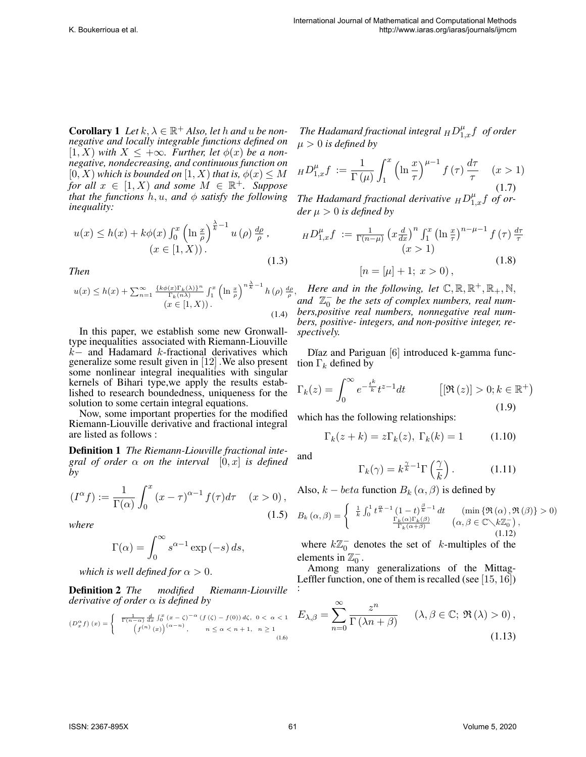**Corollary** 1 Let  $k, \lambda \in \mathbb{R}^+$  Also, let h and u be non*negative and locally integrable functions defined on* [1, X) *with* X ≤ +∞*. Further, let* φ(x) *be a nonnegative, nondecreasing, and continuous function on*  $[0, X)$  which is bounded on  $[1, X)$  that is,  $\phi(x) \leq M$ *for all*  $x \in [1, X)$  *and some*  $M \in \mathbb{R}^+$ *. Suppose that the functions*  $h, u,$  *and*  $\phi$  *satisfy the following inequality:*

$$
u(x) \le h(x) + k\phi(x) \int_0^x \left(\ln \frac{x}{\rho}\right)^{\frac{\lambda}{k}-1} u(\rho) \frac{d\rho}{\rho},
$$
  

$$
(x \in [1, X)).
$$
 (1.3)

*Then*

$$
u(x) \le h(x) + \sum_{n=1}^{\infty} \frac{\left\{k\phi(x)\Gamma_k(\lambda)\right\}^n}{\Gamma_k(n\lambda)} \int_1^x \left(\ln\frac{x}{\rho}\right)^{n\frac{\lambda}{k}-1} h(\rho) \frac{d\rho}{\rho}
$$
  
(x \in [1, X)). (1.4)

In this paper, we establish some new Gronwalltype inequalities associated with Riemann-Liouville k− and Hadamard k-fractional derivatives which generalize some result given in [12] .We also present some nonlinear integral inequalities with singular kernels of Bihari type,we apply the results established to research boundedness, uniqueness for the solution to some certain integral equations.

Now, some important properties for the modified Riemann-Liouville derivative and fractional integral are listed as follows :

Definition 1 *The Riemann-Liouville fractional integral of order*  $\alpha$  *on the interval*  $[0, x]$  *is defined by*

$$
(I^{\alpha}f) := \frac{1}{\Gamma(\alpha)} \int_0^x (x - \tau)^{\alpha - 1} f(\tau) d\tau \quad (x > 0),
$$
\n(1.5)

*where*

$$
\Gamma(\alpha) = \int_0^\infty s^{\alpha - 1} \exp\left(-s\right) ds,
$$

*which is well defined for*  $\alpha > 0$ *.* 

Definition 2 *The modified Riemann-Liouville derivative of order* α *is defined by*

$$
\left(D_x^{\alpha} f\right)(x) = \begin{cases} \frac{1}{\Gamma(n-\alpha)} \frac{d}{dx} \int_0^x (x - \zeta)^{-\alpha} \left(f\left(\zeta\right) - f(0)\right) d\zeta, & 0 < \alpha < 1 \\ \left(f^{(n)}\left(x\right)\right)^{(\alpha - n)}, & n \le \alpha < n + 1, & n \ge 1 \end{cases}
$$
\n
$$
(1.6)
$$

The Hadamard fractional integral  $_H D_{1,x}^\mu f\,$  of order  $\mu > 0$  *is defined by* 

$$
_H D_{1,x}^{\mu} f := \frac{1}{\Gamma(\mu)} \int_1^x \left( \ln \frac{x}{\tau} \right)^{\mu - 1} f(\tau) \frac{d\tau}{\tau} \quad (x > 1)
$$
\n(1.7)

The Hadamard fractional derivative  $_HD_{1,x}^{\mu}f$  of or*der*  $\mu > 0$  *is defined by* 

$$
_HD_{1,x}^{\mu}f := \frac{1}{\Gamma(n-\mu)} \left( x \frac{d}{dx} \right)^n \int_1^x \left( \ln \frac{x}{\tau} \right)^{n-\mu-1} f(\tau) \frac{d\tau}{\tau}
$$
  
(x > 1)  
[n = [\mu] + 1; x > 0), (1.8)

 $\frac{d\rho}{\rho}$ , *Here and in the following, let*  $\mathbb{C}, \mathbb{R}, \mathbb{R}^+, \mathbb{R}_+, \mathbb{N},$ and  $\mathbb{Z}_0^-$  be the sets of complex numbers, real num*bers,positive real numbers, nonnegative real numbers, positive- integers, and non-positive integer, respectively.*

Dĭaz and Pariguan [6] introduced k-gamma function  $\Gamma_k$  defined by

$$
\Gamma_k(z) = \int_0^\infty e^{-\frac{t^k}{k}} t^{z-1} dt \qquad \qquad [[\Re(z)] > 0; k \in \mathbb{R}^+)
$$
\n(1.9)

which has the following relationships:

 $\Gamma_k(z + k) = z \Gamma_k(z), \ \Gamma_k(k) = 1$  (1.10)

and

$$
\Gamma_k(\gamma) = k^{\frac{\gamma}{k} - 1} \Gamma\left(\frac{\gamma}{k}\right). \tag{1.11}
$$

Also,  $k - beta$  function  $B_k(\alpha, \beta)$  is defined by

$$
B_k(\alpha, \beta) = \begin{cases} \frac{1}{k} \int_0^1 t^{\frac{\alpha}{k} - 1} \left(1 - t\right)^{\frac{\beta}{k} - 1} dt & (\min\left\{\Re\left(\alpha\right), \Re\left(\beta\right)\right\} > 0) \\ \frac{\Gamma_k(\alpha)\Gamma_k(\beta)}{\Gamma_k(\alpha + \beta)} & (\alpha, \beta \in \mathbb{C} \setminus k\mathbb{Z}_0^-), \end{cases}
$$
(1.12)

where  $k\mathbb{Z}_0^-$  denotes the set of k-multiples of the elements in  $\mathbb{Z}_0^-$ .

Among many generalizations of the Mittag-Leffler function, one of them is recalled (see  $[15, 16]$ ) :

$$
E_{\lambda,\beta} = \sum_{n=0}^{\infty} \frac{z^n}{\Gamma(\lambda n + \beta)} \quad (\lambda, \beta \in \mathbb{C}; \mathfrak{R}(\lambda) > 0),
$$
\n(1.13)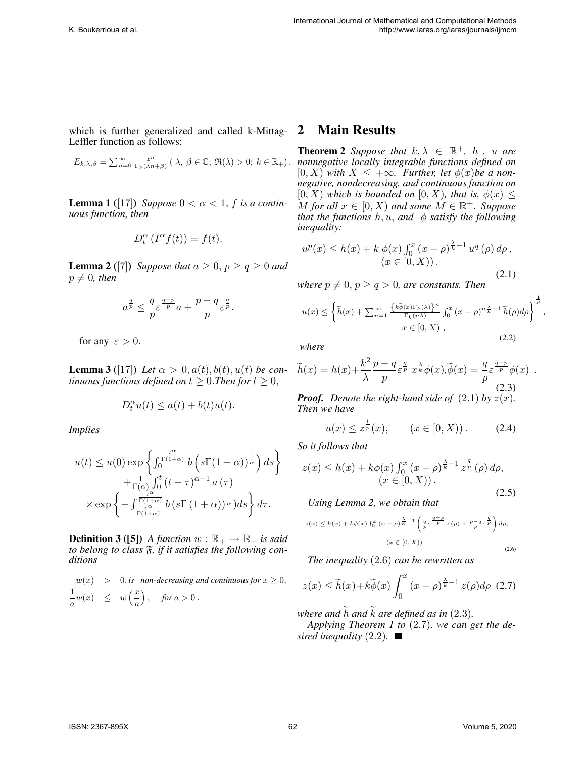which is further generalized and called k-Mittag- $2$ Leffler function as follows:

$$
E_{k,\lambda,\beta} = \sum_{n=0}^{\infty} \frac{z^n}{\Gamma_k(\lambda n + \beta)} \left( \lambda, \ \beta \in \mathbb{C}; \ \Re(\lambda) > 0; \ k \in \mathbb{R}_+ \right).
$$

**Lemma 1** ([17]) *Suppose*  $0 < \alpha < 1$ , f is a contin*uous function, then*

$$
D_t^{\alpha} \left( I^{\alpha} f(t) \right) = f(t).
$$

**Lemma 2** ([7]) Suppose that  $a \geq 0$ ,  $p \geq q \geq 0$  and  $p \neq 0$ , then

$$
a^{\frac{q}{p}}\leq \frac{q}{p}\varepsilon^{\frac{q-p}{p}}a+\frac{p-q}{p}\varepsilon^{\frac{q}{p}}.
$$

for any  $\varepsilon > 0$ .

**Lemma 3** ([17]) *Let*  $\alpha > 0$ ,  $a(t)$ ,  $b(t)$ ,  $u(t)$  *be continuous functions defined on*  $t \geq 0$ . *Then for*  $t \geq 0$ ,

$$
D_t^{\alpha}u(t) \le a(t) + b(t)u(t).
$$

*Implies*

$$
u(t) \le u(0) \exp \left\{ \int_0^{\frac{t^{\alpha}}{\Gamma(1+\alpha)}} b\left(s\Gamma(1+\alpha)\right)^{\frac{1}{\alpha}} \right) ds \right\}
$$
  
+  $\frac{1}{\Gamma(\alpha)} \int_0^t (t-\tau)^{\alpha-1} a(\tau)$   
 $\times \exp \left\{ - \int_{\frac{t^{\alpha}}{\Gamma(1+\alpha)}}^{\frac{t^{\alpha}}{\Gamma(1+\alpha)}} b\left(s\Gamma(1+\alpha)\right)^{\frac{1}{\alpha}} \right\} d\tau.$ 

**Definition 3 ([5])** *A function*  $w : \mathbb{R}_+ \to \mathbb{R}_+$  *is said to belong to class* F*, if it satisfies the following conditions*

$$
w(x) > 0, \text{ is non-decreasing and continuous for } x \ge 0,
$$
  
\n
$$
\frac{1}{a}w(x) \le w\left(\frac{x}{a}\right), \text{ for } a > 0.
$$

## **Main Results**

**Theorem 2** Suppose that  $k, \lambda \in \mathbb{R}^+$ , h, u are *nonnegative locally integrable functions defined on*  $[0, X]$  with  $X \leq +\infty$ . Further, let  $\phi(x)$ be a non*negative, nondecreasing, and continuous function on*  $[0, X)$  *which is bounded on*  $[0, X)$ *, that is,*  $\phi(x) \leq$  $\stackrel{\sim}{M}$  *for all*  $x \in [0, X)$  *and some*  $\stackrel{\sim}{M} \in \mathbb{R}^+$ *. Suppose that the functions*  $h, u,$  *and*  $\phi$  *satisfy the following inequality:*

$$
u^{p}(x) \le h(x) + k \phi(x) \int_{0}^{x} (x - \rho)^{\frac{\lambda}{k} - 1} u^{q}(\rho) d\rho,
$$
  
(x \in [0, X)). (2.1)

*where*  $p \neq 0$ ,  $p \geq q > 0$ , are constants. Then

$$
u(x) \leq \left\{ \widetilde{h}(x) + \sum_{n=1}^{\infty} \frac{\left\{ k \widetilde{\phi}(x) \Gamma_k(\lambda) \right\}^n}{\Gamma_k(n\lambda)} \int_0^x (x - \rho)^{n \frac{\lambda}{k} - 1} \widetilde{h}(\rho) d\rho \right\}^{\frac{1}{p}},
$$
  

$$
x \in [0, X),
$$
 (2.2)

*where*

$$
\widetilde{h}(x) = h(x) + \frac{k^2}{\lambda} \frac{p - q}{p} \varepsilon^{\frac{q}{p}} x^{\frac{\lambda}{k}} \phi(x), \widetilde{\phi}(x) = \frac{q}{p} \varepsilon^{\frac{q - p}{p}} \phi(x) .
$$
\n(2.3)

*Proof.* Denote the right-hand side of  $(2.1)$  by  $z(x)$ . *Then we have*

$$
u(x) \leq z^{\frac{1}{p}}(x), \qquad (x \in [0, X)).
$$
 (2.4)

*So it follows that*

$$
z(x) \le h(x) + k\phi(x) \int_0^x (x - \rho)^{\frac{\lambda}{k} - 1} z^{\frac{q}{p}}(\rho) d\rho, (x \in [0, X)).
$$
\n(2.5)

*Using Lemma 2, we obtain that*

$$
z(x) \le h(x) + k\phi(x) \int_0^x (x - \rho) \frac{\lambda}{k} - 1 \left( \frac{q}{p} \varepsilon^{\frac{q-p}{p}} z(\rho) + \frac{p-q}{p} \varepsilon^{\frac{q}{p}} \right) d\rho,
$$
  

$$
(x \in [0, X)) .
$$
 (2.6)

*The inequality* (2.6) *can be rewritten as*

$$
z(x) \le \widetilde{h}(x) + k\widetilde{\phi}(x) \int_0^x (x - \rho)^{\frac{\lambda}{k} - 1} z(\rho) d\rho \tag{2.7}
$$

*where and*  $\hat{h}$  *and*  $\hat{k}$  *are defined as in* (2.3). *Applying Theorem 1 to* (2.7)*, we can get the desired inequality* (2.2)*.*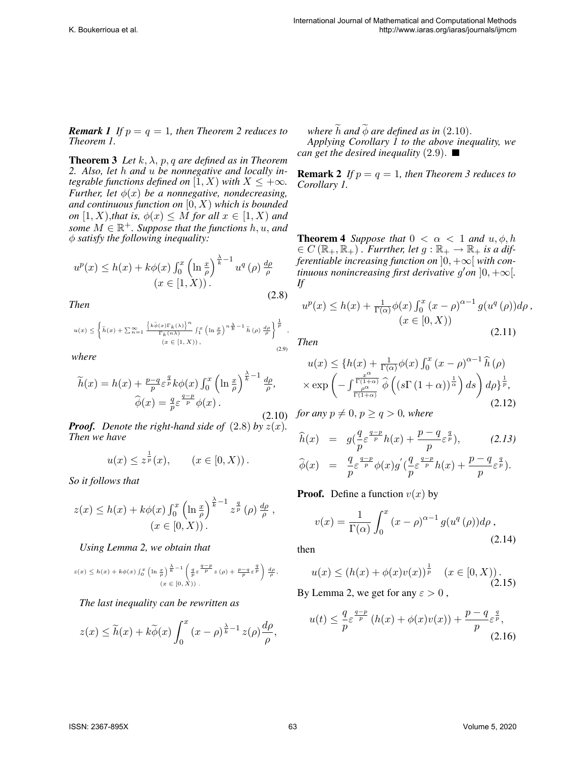*Remark 1 If*  $p = q = 1$ *, then Theorem 2 reduces to Theorem 1.*

**Theorem 3** *Let*  $k$ ,  $\lambda$ ,  $p$ ,  $q$  *are defined as in Theorem 2. Also, let* h *and* u *be nonnegative and locally integrable functions defined on* [1, X) *with*  $X \leq +\infty$ *. Further, let*  $\phi(x)$  *be a nonnegative, nondecreasing, and continuous function on* [0, X) *which is bounded on*  $[1, X)$ *,that is,*  $\phi(x) \leq M$  *for all*  $x \in [1, X)$  *and*  $some M \in \mathbb{R}^+$ . Suppose that the functions  $h, u,$  and φ *satisfy the following inequality:*

$$
u^{p}(x) \leq h(x) + k\phi(x) \int_0^x \left(\ln \frac{x}{\rho}\right)^{\frac{\lambda}{k}-1} u^{q}(\rho) \frac{d\rho}{\rho}
$$

$$
(x \in [1, X)).
$$
\n(2.8)

*Then*

$$
u(x) \leq \left\{ \widetilde{h}(x) + \sum_{n=1}^{\infty} \frac{\left\{ k \widetilde{\phi}(x) \Gamma_k(\lambda) \right\}^n}{\Gamma_k(n\lambda)} \int_1^x \left( \ln \frac{x}{\rho} \right)^n \frac{\lambda}{k} - 1 \widetilde{h}(\rho) \frac{d\rho}{\rho} \right\}^{\frac{1}{p}},
$$
  
\n
$$
(x \in [1, X)),
$$
\n
$$
(2.9)
$$

*where*

$$
\widetilde{h}(x) = h(x) + \frac{p-q}{p} \varepsilon^{\frac{q}{p}} k \phi(x) \int_0^x \left(\ln \frac{x}{\rho}\right)^{\frac{\lambda}{k}-1} \frac{d\rho}{\rho},
$$

$$
\widehat{\phi}(x) = \frac{q}{p} \varepsilon^{\frac{q-p}{p}} \phi(x).
$$

*Proof.* Denote the right-hand side of  $(2.8)$  by  $z(x)$ . *Then we have*

$$
u(x) \leq z^{\frac{1}{p}}(x), \qquad (x \in [0, X)).
$$

*So it follows that*

$$
z(x) \le h(x) + k\phi(x) \int_0^x \left(\ln \frac{x}{\rho}\right)^{\frac{\lambda}{k}-1} z^{\frac{q}{p}} (\rho) \frac{d\rho}{\rho},
$$
  

$$
(x \in [0, X)).
$$

*Using Lemma 2, we obtain that*

$$
z(x) \leq h(x) + k\phi(x) \int_0^x \left(\ln \frac{x}{\rho}\right)^{\frac{\lambda}{k}-1} \left(\frac{q}{p} \varepsilon^{\frac{q-p}{p}} z(\rho) + \frac{p-q}{p} \varepsilon^{\frac{q}{p}}\right) \frac{d\rho}{\rho},
$$
  
\n
$$
(x \in [0, X)).
$$

#### *The last inequality can be rewritten as*

$$
z(x) \leq \widetilde{h}(x) + k\widetilde{\phi}(x) \int_0^x (x - \rho)^{\frac{\lambda}{k} - 1} z(\rho) \frac{d\rho}{\rho},
$$

*where*  $\overline{h}$  *and*  $\phi$  *are defined as in* (2.10). *Applying Corollary 1 to the above inequality, we can get the desired inequality*  $(2.9)$ .

**Remark 2** *If*  $p = q = 1$ *, then Theorem 3 reduces to Corollary 1.*

**Theorem 4** *Suppose that*  $0 < \alpha < 1$  *and*  $u, \phi, h$  $\epsilon \in C(\mathbb{R}_+,\mathbb{R}_+)$ . Furrther, let  $g:\mathbb{R}_+ \to \mathbb{R}_+$  is a dif*ferentiable increasing function on*  $]0, +\infty[$  *with continuous nonincreasing first derivative g'on*  $]0, +\infty[$ *. If*

$$
u^{p}(x) \leq h(x) + \frac{1}{\Gamma(\alpha)} \phi(x) \int_{0}^{x} (x - \rho)^{\alpha - 1} g(u^{q}(\rho)) d\rho,
$$
  

$$
(x \in [0, X))
$$
 (2.11)

*Then*

$$
u(x) \leq \left\{ h(x) + \frac{1}{\Gamma(\alpha)} \phi(x) \int_0^x (x - \rho)^{\alpha - 1} \widehat{h}(\rho) \right\}
$$

$$
\times \exp\left( - \int_{\frac{\rho^{\alpha}}{\Gamma(1 + \alpha)}}^{\frac{x^{\alpha}}{\Gamma(1 + \alpha)}} \widehat{\phi}\left( (s\Gamma(1 + \alpha))^{\frac{1}{\alpha}} \right) ds \right) d\rho \right\}^{\frac{1}{p}},
$$
(2.12)

 $(2.10)$  *for any*  $p \neq 0, p \geq q > 0$ *, where* 

$$
\widehat{h}(x) = g\left(\frac{q}{p}\varepsilon^{\frac{q-p}{p}}h(x) + \frac{p-q}{p}\varepsilon^{\frac{q}{p}}\right), \qquad (2.13)
$$
  

$$
\widehat{\phi}(x) = \frac{q}{p}\varepsilon^{\frac{q-p}{p}}\phi(x)g'\left(\frac{q}{p}\varepsilon^{\frac{q-p}{p}}h(x) + \frac{p-q}{p}\varepsilon^{\frac{q}{p}}\right).
$$

**Proof.** Define a function  $v(x)$  by

$$
v(x) = \frac{1}{\Gamma(\alpha)} \int_0^x (x - \rho)^{\alpha - 1} g(u^q(\rho)) d\rho,
$$
\n(2.14)

then

$$
u(x) \le (h(x) + \phi(x)v(x))^\frac{1}{p} \quad (x \in [0, X)).
$$
\n(2.15)

By Lemma 2, we get for any  $\varepsilon > 0$ ,

$$
u(t) \leq \frac{q}{p} \varepsilon^{\frac{q-p}{p}} \left( h(x) + \phi(x)v(x) \right) + \frac{p-q}{p} \varepsilon^{\frac{q}{p}},\tag{2.16}
$$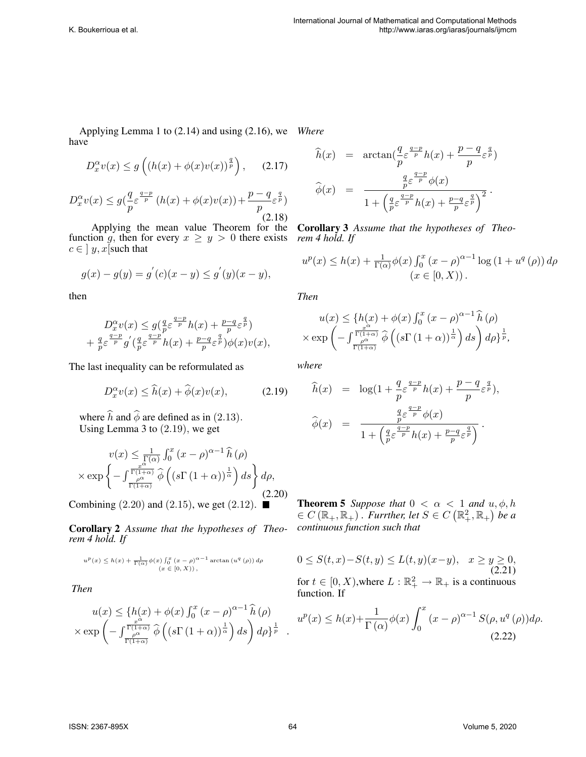Applying Lemma 1 to (2.14) and using (2.16), we *Where* have

$$
D_x^{\alpha}v(x) \le g\left((h(x) + \phi(x)v(x))^{\frac{q}{p}}\right), \quad (2.17)
$$

$$
D_x^{\alpha}v(x) \le g\left(\frac{q}{p}\varepsilon^{\frac{q-p}{p}}\left(h(x) + \phi(x)v(x)\right) + \frac{p-q}{p}\varepsilon^{\frac{q}{p}}\right)
$$
\n(2.18)

Applying the mean value Theorem for the Corollary 3 *Assume that the hypotheses of Theo*function g, then for every  $x \geq y > 0$  there exists rem 4 hold. If  $c \in$  |  $y, x$ [such that

$$
g(x) - g(y) = g'(c)(x - y) \le g'(y)(x - y),
$$

then

$$
\begin{array}{c}D_x^{\alpha}v(x)\leq g(\frac{q}{p}\varepsilon^{\frac{q-p}{p}}h(x)+\frac{p-q}{p}\varepsilon^{\frac{q}{p}})\\+\frac{q}{p}\varepsilon^{\frac{q-p}{p}}g^{'}(\frac{q}{p}\varepsilon^{\frac{q-p}{p}}h(x)+\frac{p-q}{p}\varepsilon^{\frac{q}{p}})\phi(x)v(x),\end{array}
$$

The last inequality can be reformulated as

$$
D_x^{\alpha}v(x) \le \widehat{h}(x) + \widehat{\phi}(x)v(x), \qquad (2.19)
$$

where  $\hat{h}$  and  $\hat{\phi}$  are defined as in (2.13). Using Lemma 3 to (2.19), we get

$$
v(x) \leq \frac{1}{\Gamma(\alpha)} \int_0^x (x - \rho)^{\alpha - 1} \widehat{h}(\rho)
$$
  
 
$$
\times \exp\left\{-\int_{\frac{\rho^\alpha}{\Gamma(1+\alpha)}}^{\frac{x^\alpha}{\Gamma(1+\alpha)}} \widehat{\phi}\left((s\Gamma(1+\alpha))^{\frac{1}{\alpha}}\right) ds\right\} d\rho,
$$
(2.20)

Combining  $(2.20)$  and  $(2.15)$ , we get  $(2.12)$ .

Corollary 2 *Assume that the hypotheses of Theorem 4 hold. If*

$$
u^{p}(x) \leq h(x) + \frac{1}{\Gamma(\alpha)} \phi(x) \int_{0}^{x} (x - \rho)^{\alpha-1} \arctan(u^{q}(\rho)) d\rho
$$
  

$$
(x \in [0, X)),
$$

*Then*

$$
u(x) \leq \left\{ h(x) + \phi(x) \int_0^x (x - \rho)^{\alpha - 1} \widehat{h}(\rho) \right\}
$$

$$
\times \exp\left( - \int_{\frac{\rho^{\alpha}}{\Gamma(1+\alpha)}}^{\frac{x^{\alpha}}{\Gamma(1+\alpha)}} \widehat{\phi}\left( (s\Gamma(1+\alpha))^{\frac{1}{\alpha}} \right) ds \right) d\rho \right\}^{\frac{1}{p}}.
$$

$$
\widehat{h}(x) = \arctan\left(\frac{q}{p}\varepsilon^{\frac{q-p}{p}}h(x) + \frac{p-q}{p}\varepsilon^{\frac{q}{p}}\right)
$$

$$
\widehat{\phi}(x) = \frac{\frac{q}{p}\varepsilon^{\frac{q-p}{p}}\phi(x)}{1 + \left(\frac{q}{p}\varepsilon^{\frac{q-p}{p}}h(x) + \frac{p-q}{p}\varepsilon^{\frac{q}{p}}\right)^2}.
$$

$$
u^{p}(x) \leq h(x) + \frac{1}{\Gamma(\alpha)} \phi(x) \int_0^x (x - \rho)^{\alpha - 1} \log(1 + u^{q}(\rho)) d\rho
$$
  

$$
(x \in [0, X)).
$$

*Then*

$$
u(x) \leq \left\{ h(x) + \phi(x) \int_0^x (x - \rho)^{\alpha - 1} \widehat{h}(\rho) \right\}
$$

$$
\times \exp\left( - \int_{\frac{\rho^{\alpha}}{\Gamma(1+\alpha)}}^{\frac{\Gamma(1+\alpha)}{\Gamma(1+\alpha)}} \widehat{\phi}\left( (s\Gamma(1+\alpha))^{\frac{1}{\alpha}} \right) ds \right) d\rho \right\}^{\frac{1}{p}},
$$

*where*

$$
\hat{h}(x) = \log\left(1 + \frac{q}{p} \varepsilon^{\frac{q-p}{p}} h(x) + \frac{p-q}{p} \varepsilon^{\frac{q}{p}}\right),
$$
  

$$
\hat{\phi}(x) = \frac{\frac{q}{p} \varepsilon^{\frac{q-p}{p}} \phi(x)}{1 + \left(\frac{q}{p} \varepsilon^{\frac{q-p}{p}} h(x) + \frac{p-q}{p} \varepsilon^{\frac{q}{p}}\right)}.
$$

**Theorem 5** *Suppose that*  $0 < \alpha < 1$  *and*  $u, \phi, h$  $\mathcal{L} \in C\left(\mathbb{R}_+,\mathbb{R}_+\right)$ . *Furrther, let*  $S \in C\left(\mathbb{R}_+^2,\mathbb{R}_+\right)$  be a *continuous function such that*

$$
0 \le S(t, x) - S(t, y) \le L(t, y)(x - y), \quad x \ge y \ge 0,
$$
  
for  $t \in [0, X)$ , where  $L : \mathbb{R}_+^2 \to \mathbb{R}_+$  is a continuous  
function. If

$$
u^{p}(x) \leq h(x) + \frac{1}{\Gamma(\alpha)} \phi(x) \int_{0}^{x} (x - \rho)^{\alpha - 1} S(\rho, u^{q}(\rho)) d\rho.
$$
\n(2.22)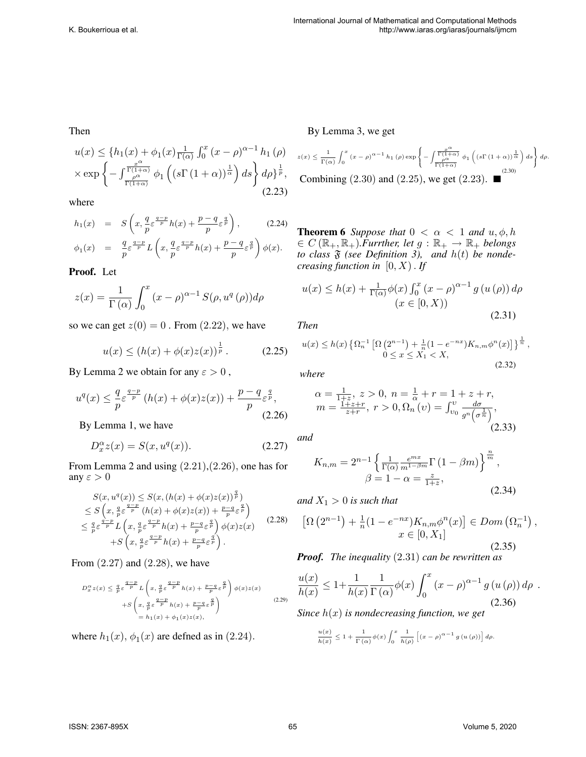#### Then

$$
u(x) \leq \left\{ h_1(x) + \phi_1(x) \frac{1}{\Gamma(\alpha)} \int_0^x (x - \rho)^{\alpha - 1} h_1(\rho) \right\}
$$

$$
\times \exp \left\{ - \int_{\frac{\rho^{\alpha}}{\Gamma(1 + \alpha)}}^{\frac{x^{\alpha}}{\Gamma(1 + \alpha)}} \phi_1 \left( (s\Gamma(1 + \alpha))^{\frac{1}{\alpha}} \right) ds \right\} d\rho \right\}^{\frac{1}{p}},
$$
(2.23)

where

$$
h_1(x) = S\left(x, \frac{q}{p}\varepsilon^{\frac{q-p}{p}}h(x) + \frac{p-q}{p}\varepsilon^{\frac{q}{p}}\right), \qquad (2.24)
$$
  

$$
\phi_1(x) = \frac{q}{p}\varepsilon^{\frac{q-p}{p}}L\left(x, \frac{q}{p}\varepsilon^{\frac{q-p}{p}}h(x) + \frac{p-q}{p}\varepsilon^{\frac{q}{p}}\right)\phi(x).
$$

Proof. Let

$$
z(x) = \frac{1}{\Gamma(\alpha)} \int_0^x (x - \rho)^{\alpha - 1} S(\rho, u^q(\rho)) d\rho
$$

so we can get  $z(0) = 0$ . From  $(2.22)$ , we have

$$
u(x) \le (h(x) + \phi(x)z(x))^{\frac{1}{p}}.
$$
 (2.25)

By Lemma 2 we obtain for any  $\varepsilon > 0$ ,

$$
u^{q}(x) \leq \frac{q}{p} \varepsilon^{\frac{q-p}{p}} \left( h(x) + \phi(x)z(x) \right) + \frac{p-q}{p} \varepsilon^{\frac{q}{p}},\tag{2.26}
$$

By Lemma 1, we have

$$
D_x^{\alpha}z(x) = S(x, u^q(x)).
$$
\n(2.27)

From Lemma 2 and using (2.21),(2.26), one has for any  $\varepsilon > 0$ 

$$
S(x, u^{q}(x)) \leq S(x, (h(x) + \phi(x)z(x))^{\frac{q}{p}})
$$
  
\n
$$
\leq S\left(x, \frac{q}{p}\varepsilon^{\frac{q-p}{p}} (h(x) + \phi(x)z(x)) + \frac{p-q}{p}\varepsilon^{\frac{q}{p}}\right)
$$
  
\n
$$
\leq \frac{q}{p}\varepsilon^{\frac{q-p}{p}} L\left(x, \frac{q}{p}\varepsilon^{\frac{q-p}{p}} h(x) + \frac{p-q}{p}\varepsilon^{\frac{q}{p}}\right) \phi(x)z(x)
$$
  
\n
$$
+ S\left(x, \frac{q}{p}\varepsilon^{\frac{q-p}{p}} h(x) + \frac{p-q}{p}\varepsilon^{\frac{q}{p}}\right).
$$
\n(2.28)

From  $(2.27)$  and  $(2.28)$ , we have

$$
D_x^{\alpha} z(x) \leq \frac{q}{p} \varepsilon^{\frac{q-p}{p}} L\left(x, \frac{q}{p} \varepsilon^{\frac{q-p}{p}} h(x) + \frac{p-q}{p} \varepsilon^{\frac{q}{p}}\right) \phi(x) z(x) + S\left(x, \frac{q}{p} \varepsilon^{\frac{q-p}{p}} h(x) + \frac{p-q}{p} \varepsilon^{\frac{q}{p}}\right) = h_1(x) + \phi_1(x) z(x),
$$
\n
$$
(2.29)
$$

where  $h_1(x)$ ,  $\phi_1(x)$  are defned as in (2.24).

By Lemma 3, we get

$$
z(x) \le \frac{1}{\Gamma(\alpha)} \int_0^x (x - \rho)^{\alpha - 1} h_1(\rho) \exp\left\{-\int_{\frac{\rho^{\alpha}}{\Gamma(1 + \alpha)}}^{\frac{x^{\alpha}}{\Gamma(1 + \alpha)}} \phi_1 \left( (s\Gamma(1 + \alpha))^\frac{1}{\alpha} \right) ds \right\} d\rho.
$$
  
Combining (2.30) and (2.25), we get (2.23).

**Theorem 6** *Suppose that*  $0 < \alpha < 1$  *and*  $u, \phi, h$  $\epsilon \in C(\mathbb{R}_+,\mathbb{R}_+).$ *Furrther, let*  $g:\mathbb{R}_+ \to \mathbb{R}_+$  *belongs to class*  $\mathfrak F$  *(see Definition 3), and*  $h(t)$  *be nondecreasing function in* [0, X). *If*

$$
u(x) \le h(x) + \frac{1}{\Gamma(\alpha)} \phi(x) \int_0^x (x - \rho)^{\alpha - 1} g(u(\rho)) d\rho
$$
  

$$
(x \in [0, X))
$$
\n(2.31)

*Then*

$$
u(x) \le h(x) \left\{ \Omega_n^{-1} \left[ \Omega \left( 2^{n-1} \right) + \frac{1}{n} (1 - e^{-nx}) K_{n,m} \phi^n(x) \right] \right\}^{\frac{1}{n}},
$$
  
0 \le x \le X\_1 < X, (2.32)

*where*

$$
\alpha = \frac{1}{1+z}, z > 0, n = \frac{1}{\alpha} + r = 1 + z + r,
$$
  
\n
$$
m = \frac{1+z+r}{z+r}, r > 0, \Omega_n(v) = \int_{v_0}^{v} \frac{d\sigma}{g^n(\sigma^{\frac{1}{n}})},
$$
  
\n(2.33)

*and*

$$
K_{n,m} = 2^{n-1} \left\{ \frac{1}{\Gamma(\alpha)} \frac{e^{mx}}{m^{1-\beta m}} \Gamma(1-\beta m) \right\}^{\frac{n}{m}},
$$
  

$$
\beta = 1 - \alpha = \frac{z}{1+z},
$$
 (2.34)

*and*  $X_1 > 0$  *is such that* 

$$
\left[\Omega\left(2^{n-1}\right) + \frac{1}{n}(1 - e^{-nx})K_{n,m}\phi^{n}(x)\right] \in Dom\left(\Omega_{n}^{-1}\right),
$$
  

$$
x \in [0, X_{1}]
$$
 (2.35)

*Proof. The inequality* (2.31) *can be rewritten as*

$$
\frac{u(x)}{h(x)} \le 1 + \frac{1}{h(x)} \frac{1}{\Gamma(\alpha)} \phi(x) \int_0^x (x - \rho)^{\alpha - 1} g(u(\rho)) d\rho
$$
  
Since  $h(x)$  is nondecreasing function, we get\n
$$
(2.36)
$$

$$
\frac{u(x)}{h(x)} \leq 1 + \frac{1}{\Gamma(\alpha)} \phi(x) \int_0^x \frac{1}{h(\rho)} \left[ \left( x - \rho \right)^{\alpha - 1} g(u(\rho)) \right] d\rho.
$$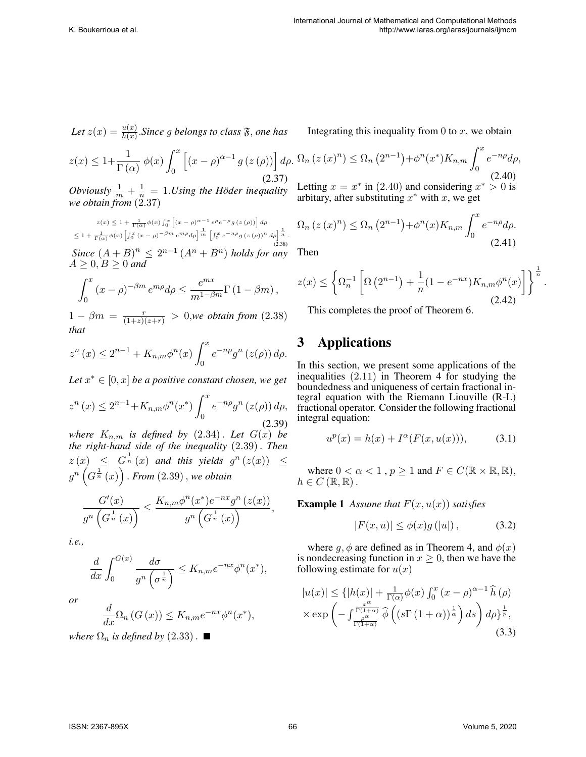Let 
$$
z(x) = \frac{u(x)}{h(x)}
$$
. Since g belongs to class  $\mathfrak{F}$ , one has

$$
z(x) \le 1 + \frac{1}{\Gamma(\alpha)} \phi(x) \int_0^x \left[ (x - \rho)^{\alpha - 1} g(z(\rho)) \right] d\rho.
$$
\n(2.37)

*Obviously*  $\frac{1}{m} + \frac{1}{n} = 1$ *. Using the Höder inequality we obtain from* (2.37)

 $z(x) \leq 1 + \frac{1}{\Gamma(\alpha)} \phi(x) \int_0^x \left[ (x - \rho)^{\alpha - 1} e^{\rho} e^{-\rho} g(x(\rho)) \right] d\rho$  $\leq 1 + \frac{1}{\Gamma(\alpha)}\phi(x)\left[\int_0^x (x-\rho)^{-\beta m} e^{m\rho} d\rho\right]^{\frac{1}{m}} \left[\int_0^x e^{-n\rho} g\left(z(\rho)\right)^n d\rho\right]^{\frac{1}{n}}.$ (2.38)  $Since (A + B)^n \leq 2^{n-1} (A^n + B^n)$  *holds for any*  $A \geq 0, B \geq 0$  and

$$
\int_0^x (x - \rho)^{-\beta m} e^{m\rho} d\rho \leq \frac{e^{mx}}{m^{1-\beta m}} \Gamma(1 - \beta m),
$$

 $1 - \beta m = \frac{r}{(1+z)(z+r)} > 0$ , we obtain from (2.38) *that*

$$
z^{n}(x) \le 2^{n-1} + K_{n,m} \phi^{n}(x) \int_{0}^{x} e^{-n\rho} g^{n}(z(\rho)) d\rho.
$$

Let  $x^* \in [0, x]$  *be a positive constant chosen, we get* 

$$
z^{n}(x) \le 2^{n-1} + K_{n,m} \phi^{n}(x^{*}) \int_{0}^{x} e^{-n\rho} g^{n}(z(\rho)) d\rho,
$$
\n(2.39)

*where*  $K_{n,m}$  *is defined by*  $(2.34)$  *. Let*  $G(x)$  *be the right-hand side of the inequality* (2.39). *Then*  $z(x) \leq G^{\frac{1}{n}}(x)$  and this yields  $g^{n}(z(x)) \leq$  $g^{n}\left(G^{\frac{1}{n}}\left(x\right)\right)$  . From  $(2.39)$  , we obtain

$$
\frac{G'(x)}{g^n\left(G^{\frac{1}{n}}(x)\right)} \le \frac{K_{n,m}\phi^n(x^*)e^{-nx}g^n\left(z(x)\right)}{g^n\left(G^{\frac{1}{n}}(x)\right)},
$$

*i.e.,*

$$
\frac{d}{dx} \int_0^{G(x)} \frac{d\sigma}{g^n \left(\sigma^{\frac{1}{n}}\right)} \leq K_{n,m} e^{-nx} \phi^n(x^*),
$$

*or*

$$
\frac{d}{dx}\Omega_n(G(x)) \leq K_{n,m}e^{-nx}\phi^n(x^*),
$$

*where*  $\Omega_n$  *is defined by* (2.33).

Integrating this inequality from  $0$  to  $x$ , we obtain

$$
\Omega_n(z(x)^n) \leq \Omega_n(z^{n-1}) + \phi^n(x^*) K_{n,m} \int_0^x e^{-n\rho} d\rho,
$$
\n(2.40)

Letting  $x = x^*$  in (2.40) and considering  $x^* > 0$  is arbitary, after substituting  $x^*$  with x, we get

$$
\Omega_n(z(x)^n) \leq \Omega_n(z^{n-1}) + \phi^n(x)K_{n,m} \int_0^x e^{-n\rho} d\rho.
$$
\n(2.41)

Then

$$
z(x) \leq \left\{ \Omega_n^{-1} \left[ \Omega \left( 2^{n-1} \right) + \frac{1}{n} (1 - e^{-nx}) K_{n,m} \phi^n(x) \right] \right\}^{\frac{1}{n}}.
$$
\n(2.42)

This completes the proof of Theorem 6.

# 3 Applications

In this section, we present some applications of the inequalities (2.11) in Theorem 4 for studying the boundedness and uniqueness of certain fractional integral equation with the Riemann Liouville (R-L) fractional operator. Consider the following fractional integral equation:

$$
u^{p}(x) = h(x) + I^{\alpha}(F(x, u(x))), \qquad (3.1)
$$

where  $0 < \alpha < 1$ ,  $p \ge 1$  and  $F \in C(\mathbb{R} \times \mathbb{R}, \mathbb{R})$ ,  $h \in C(\mathbb{R}, \mathbb{R})$ .

**Example 1** Assume that  $F(x, u(x))$  satisfies

$$
|F(x, u)| \le \phi(x)g(|u|), \tag{3.2}
$$

where  $g, \phi$  are defined as in Theorem 4, and  $\phi(x)$ is nondecreasing function in  $x \geq 0$ , then we have the following estimate for  $u(x)$ 

$$
|u(x)| \leq \{|h(x)| + \frac{1}{\Gamma(\alpha)}\phi(x)\int_0^x (x-\rho)^{\alpha-1}\hat{h}(\rho) \times \exp\left(-\int_{\frac{\rho^{\alpha}}{\Gamma(1+\alpha)}}^{\frac{x^{\alpha}}{\Gamma(1+\alpha)}}\hat{\phi}\left((s\Gamma(1+\alpha))^{\frac{1}{\alpha}}\right)ds\right) d\rho\}^{\frac{1}{p}},
$$
\n(3.3)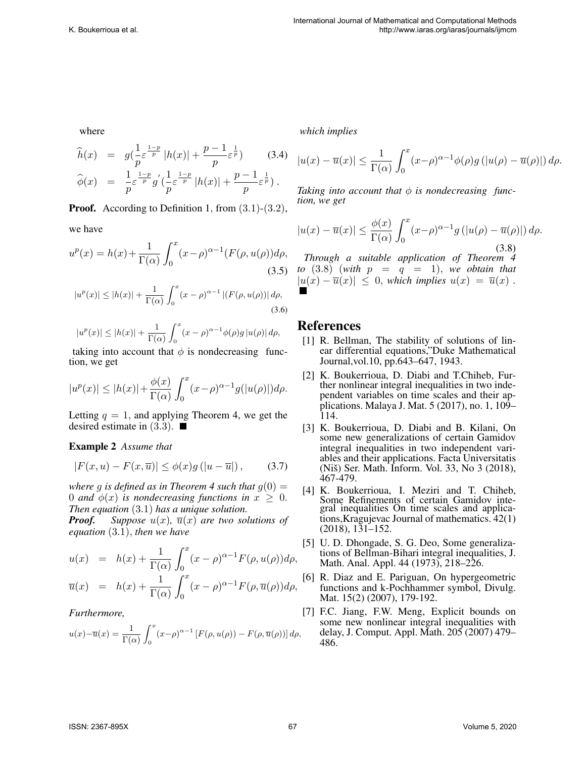where

$$
\hat{h}(x) = g(\frac{1}{p}\varepsilon^{\frac{1-p}{p}} |h(x)| + \frac{p-1}{p}\varepsilon^{\frac{1}{p}}) \qquad (3.4)
$$
  

$$
\hat{\phi}(x) = \frac{1}{p}\varepsilon^{\frac{1-p}{p}} g'(\frac{1}{p}\varepsilon^{\frac{1-p}{p}} |h(x)| + \frac{p-1}{p}\varepsilon^{\frac{1}{p}}).
$$

**Proof.** According to Definition 1, from  $(3.1)-(3.2)$ ,

we have

$$
u^{p}(x) = h(x) + \frac{1}{\Gamma(\alpha)} \int_{0}^{x} (x - \rho)^{\alpha - 1} (F(\rho, u(\rho)) d\rho,
$$
\n(3.5)

$$
|u^{p}(x)| \le |h(x)| + \frac{1}{\Gamma(\alpha)} \int_{0}^{x} (x - \rho)^{\alpha - 1} |(F(\rho, u(\rho))| d\rho,
$$
\n(3.6)

$$
|u^p(x)| \le |h(x)| + \frac{1}{\Gamma(\alpha)} \int_0^x (x - \rho)^{\alpha - 1} \phi(\rho) g |u(\rho)| d\rho,
$$

taking into account that  $\phi$  is nondecreasing function, we get

$$
|u^p(x)| \le |h(x)| + \frac{\phi(x)}{\Gamma(\alpha)} \int_0^x (x-\rho)^{\alpha-1} g(|u(\rho)|) d\rho.
$$

Letting  $q = 1$ , and applying Theorem 4, we get the desired estimate in  $(3.3)$ .

Example 2 *Assume that*

$$
|F(x, u) - F(x, \overline{u})| \le \phi(x)g(|u - \overline{u}|), \quad (3.7)
$$

*where* q *is defined as in Theorem 4 such that*  $q(0)$  = 0 *and*  $\phi(x)$  *is nondecreasing functions in*  $x \geq 0$ . *Then equation* (3.1) *has a unique solution.*

*Proof.* Suppose  $u(x)$ ,  $\overline{u}(x)$  are two solutions of *equation* (3.1), *then we have*

$$
u(x) = h(x) + \frac{1}{\Gamma(\alpha)} \int_0^x (x - \rho)^{\alpha - 1} F(\rho, u(\rho)) d\rho,
$$
  

$$
\overline{u}(x) = h(x) + \frac{1}{\Gamma(\alpha)} \int_0^x (x - \rho)^{\alpha - 1} F(\rho, \overline{u}(\rho)) d\rho,
$$

#### *Furthermore,*

$$
u(x) - \overline{u}(x) = \frac{1}{\Gamma(\alpha)} \int_0^x (x - \rho)^{\alpha - 1} \left[ F(\rho, u(\rho)) - F(\rho, \overline{u}(\rho)) \right] d\rho,
$$

*which implies*

$$
|u(x) - \overline{u}(x)| \le \frac{1}{\Gamma(\alpha)} \int_0^x (x-\rho)^{\alpha-1} \phi(\rho) g\left(|u(\rho) - \overline{u}(\rho)|\right) d\rho.
$$

*Taking into account that*  $\phi$  *is nondecreasing function, we get*

$$
|u(x) - \overline{u}(x)| \le \frac{\phi(x)}{\Gamma(\alpha)} \int_0^x (x-\rho)^{\alpha-1} g\left(|u(\rho) - \overline{u}(\rho)|\right) d\rho.
$$
\n(3.8)

*Through a suitable application of Theorem 4 to*  $(3.8)$  (*with*  $p = q = 1$ ), *we obtain that*  $|u(x) - \overline{u}(x)| \leq 0$ , *which implies*  $u(x) = \overline{u}(x)$ .

## References

- [1] R. Bellman, The stability of solutions of linear differential equations,"Duke Mathematical Journal,vol.10, pp.643–647, 1943.
- [2] K. Boukerrioua, D. Diabi and T.Chiheb, Further nonlinear integral inequalities in two independent variables on time scales and their applications. Malaya J. Mat. 5 (2017), no. 1, 109– 114.
- [3] K. Boukerrioua, D. Diabi and B. Kilani, On some new generalizations of certain Gamidov integral inequalities in two independent variables and their applications. Facta Universitatis (Niš) Ser. Math. Inform. Vol. 33, No  $3$  (2018), 467-479.
- [4] K. Boukerrioua, I. Meziri and T. Chiheb, Some Refinements of certain Gamidov integral inequalities On time scales and applications,Kragujevac Journal of mathematics. 42(1) (2018), 131–152.
- [5] U. D. Dhongade, S. G. Deo, Some generalizations of Bellman-Bihari integral inequalities, J. Math. Anal. Appl. 44 (1973), 218–226.
- [6] R. Diaz and E. Pariguan, On hypergeometric functions and k-Pochhammer symbol, Divulg. Mat. 15(2) (2007), 179-192.
- [7] F.C. Jiang, F.W. Meng, Explicit bounds on some new nonlinear integral inequalities with delay, J. Comput. Appl. Math. 205 (2007) 479– 486.